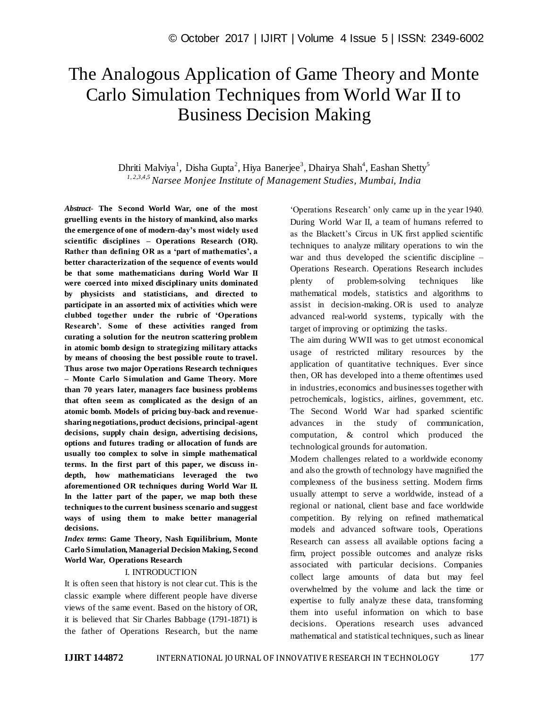# The Analogous Application of Game Theory and Monte Carlo Simulation Techniques from World War II to Business Decision Making

Dhriti Malviya<sup>1</sup>, Disha Gupta<sup>2</sup>, Hiya Banerjee<sup>3</sup>, Dhairya Shah<sup>4</sup>, Eashan Shetty<sup>5</sup> *1, 2,3,4,5 Narsee Monjee Institute of Management Studies, Mumbai, India*

*Abstract*- **The Second World War, one of the most gruelling events in the history of mankind, also marks the emergence of one of modern-day's most widely used scientific disciplines – Operations Research (OR). Rather than defining OR as a 'part of mathematics', a better characterization of the sequence of events would be that some mathematicians during World War II were coerced into mixed disciplinary units dominated by physicists and statisticians, and directed to participate in an assorted mix of activities which were clubbed together under the rubric of 'Operations Research'. Some of these activities ranged from curating a solution for the neutron scattering problem in atomic bomb design to strategizing military attacks by means of choosing the best possible route to travel. Thus arose two major Operations Research techniques – Monte Carlo Simulation and Game Theory. More than 70 years later, managers face business problems that often seem as complicated as the design of an atomic bomb. Models of pricing buy-back and revenuesharing negotiations, product decisions, principal-agent decisions, supply chain design, advertising decisions, options and futures trading or allocation of funds are usually too complex to solve in simple mathematical terms. In the first part of this paper, we discuss indepth, how mathematicians leveraged the two aforementioned OR techniques during World War II. In the latter part of the paper, we map both these techniques to the current business scenario and suggest ways of using them to make better managerial decisions.**

*Index terms***: Game Theory, Nash Equilibrium, Monte Carlo Simulation, Managerial Decision Making, Second World War, Operations Research**

### I. INTRODUCTION

It is often seen that history is not clear cut. This is the classic example where different people have diverse views of the same event. Based on the history of OR, it is believed that Sir Charles Babbage (1791-1871) is the father of Operations Research, but the name ‗Operations Research' only came up in the year 1940. During World War II, a team of humans referred to as the Blackett's Circus in UK first applied scientific techniques to analyze military operations to win the war and thus developed the scientific discipline – Operations Research. Operations Research includes plenty of problem-solving techniques like mathematical models, statistics and algorithms to assist in decision-making. OR is used to analyze advanced real-world systems, typically with the target of improving or optimizing the tasks.

The aim during WWII was to get utmost economical usage of restricted military resources by the application of quantitative techniques. Ever since then, OR has developed into a theme oftentimes used in industries, economics and businesses together with petrochemicals, logistics, airlines, government, etc. The Second World War had sparked scientific advances in the study of communication, computation, & control which produced the technological grounds for automation.

Modern challenges related to a worldwide economy and also the growth of technology have magnified the complexness of the business setting. Modern firms usually attempt to serve a worldwide, instead of a regional or national, client base and face worldwide competition. By relying on refined mathematical models and advanced software tools, Operations Research can assess all available options facing a firm, project possible outcomes and analyze risks associated with particular decisions. Companies collect large amounts of data but may feel overwhelmed by the volume and lack the time or expertise to fully analyze these data, transforming them into useful information on which to base decisions. Operations research uses advanced mathematical and statistical techniques, such as linear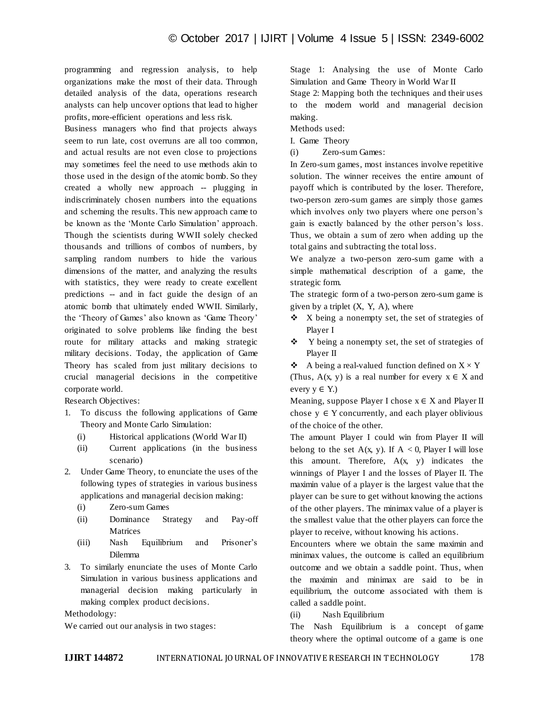programming and regression analysis, to help organizations make the most of their data. Through detailed analysis of the data, operations research analysts can help uncover options that lead to higher profits, more-efficient operations and less risk.

Business managers who find that projects always seem to run late, cost overruns are all too common, and actual results are not even close to projections may sometimes feel the need to use methods akin to those used in the design of the atomic bomb. So they created a wholly new approach -- plugging in indiscriminately chosen numbers into the equations and scheming the results. This new approach came to be known as the 'Monte Carlo Simulation' approach. Though the scientists during WWII solely checked thousands and trillions of combos of numbers, by sampling random numbers to hide the various dimensions of the matter, and analyzing the results with statistics, they were ready to create excellent predictions -- and in fact guide the design of an atomic bomb that ultimately ended WWII. Similarly, the 'Theory of Games' also known as 'Game Theory' originated to solve problems like finding the best route for military attacks and making strategic military decisions. Today, the application of Game Theory has scaled from just military decisions to crucial managerial decisions in the competitive corporate world.

Research Objectives:

- 1. To discuss the following applications of Game Theory and Monte Carlo Simulation:
	- (i) Historical applications (World War II)
	- (ii) Current applications (in the business scenario)
- 2. Under Game Theory, to enunciate the uses of the following types of strategies in various business applications and managerial decision making:
	- (i) Zero-sum Games
	- (ii) Dominance Strategy and Pay-off Matrices
	- (iii) Nash Equilibrium and Prisoner's Dilemma
- 3. To similarly enunciate the uses of Monte Carlo Simulation in various business applications and managerial decision making particularly in making complex product decisions.

Methodology:

We carried out our analysis in two stages:

Stage 1: Analysing the use of Monte Carlo Simulation and Game Theory in World War II

Stage 2: Mapping both the techniques and their uses to the modern world and managerial decision making.

Methods used:

I. Game Theory

(i) Zero-sum Games:

In Zero-sum games, most instances involve repetitive solution. The winner receives the entire amount of payoff which is contributed by the loser. Therefore, two-person zero-sum games are simply those games which involves only two players where one person's gain is exactly balanced by the other person's loss. Thus, we obtain a sum of zero when adding up the total gains and subtracting the total loss.

We analyze a two-person zero-sum game with a simple mathematical description of a game, the strategic form.

The strategic form of a two-person zero-sum game is given by a triplet  $(X, Y, A)$ , where

- $\bullet$  X being a nonempty set, the set of strategies of Player I
- $\div$  Y being a nonempty set, the set of strategies of Player II

 $\triangleleft$  A being a real-valued function defined on  $X \times Y$ (Thus,  $A(x, y)$  is a real number for every  $x \in X$  and every  $y \in Y$ .)

Meaning, suppose Player I chose  $x \in X$  and Player II chose  $y \in Y$  concurrently, and each player oblivious of the choice of the other.

The amount Player I could win from Player II will belong to the set  $A(x, y)$ . If  $A < 0$ , Player I will lose this amount. Therefore,  $A(x, y)$  indicates the winnings of Player I and the losses of Player II. The maximin value of a player is the largest value that the player can be sure to get without knowing the actions of the other players. The minimax value of a player is the smallest value that the other players can force the player to receive, without knowing his actions.

Encounters where we obtain the same maximin and minimax values, the outcome is called an equilibrium outcome and we obtain a saddle point. Thus, when the maximin and minimax are said to be in equilibrium, the outcome associated with them is called a saddle point.

(ii) Nash Equilibrium

The Nash Equilibrium is a concept of game theory where the optimal outcome of a game is one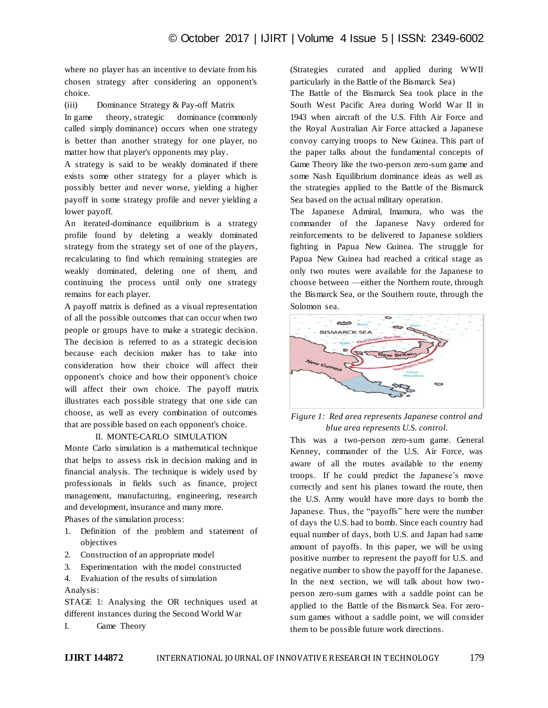where no player has an incentive to deviate from his chosen strategy after considering an opponent's choice.

(iii) Dominance Strategy & Pay-off Matrix

In game theory, strategic dominance (commonly called simply dominance) occurs when one strategy is better than another strategy for one player, no matter how that player's opponents may play.

A strategy is said to be weakly dominated if there exists some other strategy for a player which is possibly better and never worse, yielding a higher payoff in some strategy profile and never yielding a lower payoff.

An iterated-dominance equilibrium is a strategy profile found by deleting a weakly dominated strategy from the strategy set of one of the players, recalculating to find which remaining strategies are weakly dominated, deleting one of them, and continuing the process until only one strategy remains for each player.

A payoff matrix is defined as a visual representation of all the possible outcomes that can occur when two people or groups have to make a strategic decision. The decision is referred to as a strategic decision because each decision maker has to take into consideration how their choice will affect their opponent's choice and how their opponent's choice will affect their own choice. The payoff matrix illustrates each possible strategy that one side can choose, as well as every combination of outcomes that are possible based on each opponent's choice.

## II. MONTE-CARLO SIMULATION

Monte Carlo simulation is a mathematical technique that helps to assess risk in decision making and in financial analysis. The technique is widely used by professionals in fields such as finance, project management, manufacturing, engineering, research and development, insurance and many more.

Phases of the simulation process:

- 1. Definition of the problem and statement of objectives
- 2. Construction of an appropriate model
- 3. Experimentation with the model constructed
- 4. Evaluation of the results of simulation Analysis:

STAGE 1: Analysing the OR techniques used at different instances during the Second World War

I. Game Theory

(Strategies curated and applied during WWII particularly in the Battle of the Bismarck Sea)

The Battle of the Bismarck Sea took place in the South West Pacific Area during World War II in 1943 when aircraft of the U.S. Fifth Air Force and the Royal Australian Air Force attacked a Japanese convoy carrying troops to New Guinea. This part of the paper talks about the fundamental concepts of Game Theory like the two-person zero-sum game and some Nash Equilibrium dominance ideas as well as the strategies applied to the Battle of the Bismarck Sea based on the actual military operation.

The Japanese Admiral, Imamura, who was the commander of the Japanese Navy ordered for reinforcements to be delivered to Japanese soldiers fighting in Papua New Guinea. The struggle for Papua New Guinea had reached a critical stage as only two routes were available for the Japanese to choose between —either the Northern route, through the Bismarck Sea, or the Southern route, through the Solomon sea.



# *Figure 1: Red area represents Japanese control and blue area represents U.S. control.*

This was a two-person zero-sum game. General Kenney, commander of the U.S. Air Force, was aware of all the routes available to the enemy troops. If he could predict the Japanese's move correctly and sent his planes toward the route, then the U.S. Army would have more days to bomb the Japanese. Thus, the "payoffs" here were the number of days the U.S. had to bomb. Since each country had equal number of days, both U.S. and Japan had same amount of payoffs. In this paper, we will be using positive number to represent the payoff for U.S. and negative number to show the payoff for the Japanese. In the next section, we will talk about how twoperson zero-sum games with a saddle point can be applied to the Battle of the Bismarck Sea. For zerosum games without a saddle point, we will consider them to be possible future work directions.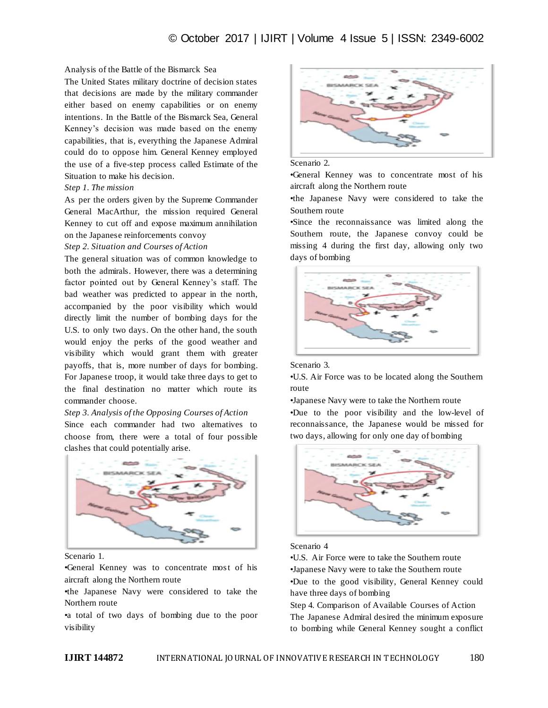## Analysis of the Battle of the Bismarck Sea

The United States military doctrine of decision states that decisions are made by the military commander either based on enemy capabilities or on enemy intentions. In the Battle of the Bismarck Sea, General Kenney's decision was made based on the enemy capabilities, that is, everything the Japanese Admiral could do to oppose him. General Kenney employed the use of a five-step process called Estimate of the Situation to make his decision.

## *Step 1. The mission*

As per the orders given by the Supreme Commander General MacArthur, the mission required General Kenney to cut off and expose maximum annihilation on the Japanese reinforcements convoy

## *Step 2. Situation and Courses of Action*

The general situation was of common knowledge to both the admirals. However, there was a determining factor pointed out by General Kenney's staff. The bad weather was predicted to appear in the north, accompanied by the poor visibility which would directly limit the number of bombing days for the U.S. to only two days. On the other hand, the south would enjoy the perks of the good weather and visibility which would grant them with greater payoffs, that is, more number of days for bombing. For Japanese troop, it would take three days to get to the final destination no matter which route its commander choose.

# *Step 3. Analysis of the Opposing Courses of Action*

Since each commander had two alternatives to choose from, there were a total of four possible clashes that could potentially arise.



Scenario 1.

•General Kenney was to concentrate most of his aircraft along the Northern route

•the Japanese Navy were considered to take the Northern route

•a total of two days of bombing due to the poor visibility



#### Scenario 2.

•General Kenney was to concentrate most of his aircraft along the Northern route

•the Japanese Navy were considered to take the Southern route

•Since the reconnaissance was limited along the Southern route, the Japanese convoy could be missing 4 during the first day, allowing only two days of bombing



#### Scenario 3.

•U.S. Air Force was to be located along the Southern route

•Japanese Navy were to take the Northern route •Due to the poor visibility and the low-level of reconnaissance, the Japanese would be missed for two days, allowing for only one day of bombing



# Scenario 4

•U.S. Air Force were to take the Southern route •Japanese Navy were to take the Southern route •Due to the good visibility, General Kenney could have three days of bombing

Step 4. Comparison of Available Courses of Action The Japanese Admiral desired the minimum exposure to bombing while General Kenney sought a conflict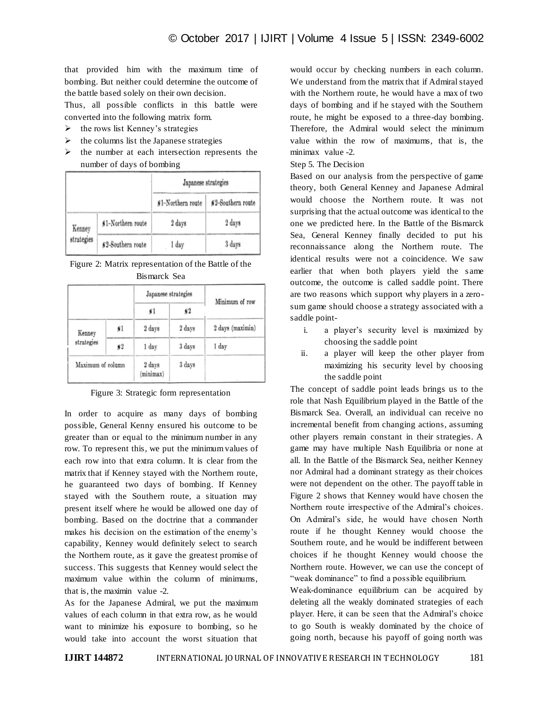that provided him with the maximum time of bombing. But neither could determine the outcome of the battle based solely on their own decision.

Thus, all possible conflicts in this battle were converted into the following matrix form.

- $\triangleright$  the rows list Kenney's strategies
- $\triangleright$  the columns list the Japanese strategies
- $\triangleright$  the number at each intersection represents the number of days of bombing

|                      |                    | Japanese strategies |                    |  |
|----------------------|--------------------|---------------------|--------------------|--|
|                      |                    | \$1-Northern route  | \$2-Southern route |  |
| Kenney<br>strategies | \$1-Northern route | 2 days              | 2 days             |  |
|                      | \$2-Southern route | 1 day               | 3 days             |  |

Figure 2: Matrix representation of the Battle of the Bismarck Sea

|                   |               | Japanese strategies | Minimum of row |                  |
|-------------------|---------------|---------------------|----------------|------------------|
|                   |               | $*1$                | $\frac{1}{2}$  |                  |
| Kenney            | *1            | 2 days              | 2 days         | 2 days (maximin) |
| strategies        | $\frac{1}{2}$ | 1 day               | 3 days         | 1 day            |
| Maximum of column |               | 2 days<br>(minimax) | 3 days         | w                |

Figure 3: Strategic form representation

In order to acquire as many days of bombing possible, General Kenny ensured his outcome to be greater than or equal to the minimum number in any row. To represent this, we put the minimum values of each row into that extra column. It is clear from the matrix that if Kenney stayed with the Northern route, he guaranteed two days of bombing. If Kenney stayed with the Southern route, a situation may present itself where he would be allowed one day of bombing. Based on the doctrine that a commander makes his decision on the estimation of the enemy's capability, Kenney would definitely select to search the Northern route, as it gave the greatest promise of success. This suggests that Kenney would select the maximum value within the column of minimums, that is, the maximin value -2.

As for the Japanese Admiral, we put the maximum values of each column in that extra row, as he would want to minimize his exposure to bombing, so he would take into account the worst situation that

would occur by checking numbers in each column. We understand from the matrix that if Admiral stayed with the Northern route, he would have a max of two days of bombing and if he stayed with the Southern route, he might be exposed to a three-day bombing. Therefore, the Admiral would select the minimum value within the row of maximums, that is, the minimax value -2.

# Step 5. The Decision

Based on our analysis from the perspective of game theory, both General Kenney and Japanese Admiral would choose the Northern route. It was not surprising that the actual outcome was identical to the one we predicted here. In the Battle of the Bismarck Sea, General Kenney finally decided to put his reconnaissance along the Northern route. The identical results were not a coincidence. We saw earlier that when both players yield the same outcome, the outcome is called saddle point. There are two reasons which support why players in a zerosum game should choose a strategy associated with a saddle point-

- i. a player's security level is maximized by choosing the saddle point
- ii. a player will keep the other player from maximizing his security level by choosing the saddle point

The concept of saddle point leads brings us to the role that Nash Equilibrium played in the Battle of the Bismarck Sea. Overall, an individual can receive no incremental benefit from changing actions, assuming other players remain constant in their strategies. A game may have multiple Nash Equilibria or none at all. In the Battle of the Bismarck Sea, neither Kenney nor Admiral had a dominant strategy as their choices were not dependent on the other. The payoff table in Figure 2 shows that Kenney would have chosen the Northern route irrespective of the Admiral's choices. On Admiral's side, he would have chosen North route if he thought Kenney would choose the Southern route, and he would be indifferent between choices if he thought Kenney would choose the Northern route. However, we can use the concept of "weak dominance" to find a possible equilibrium.

Weak-dominance equilibrium can be acquired by deleting all the weakly dominated strategies of each player. Here, it can be seen that the Admiral's choice to go South is weakly dominated by the choice of going north, because his payoff of going north was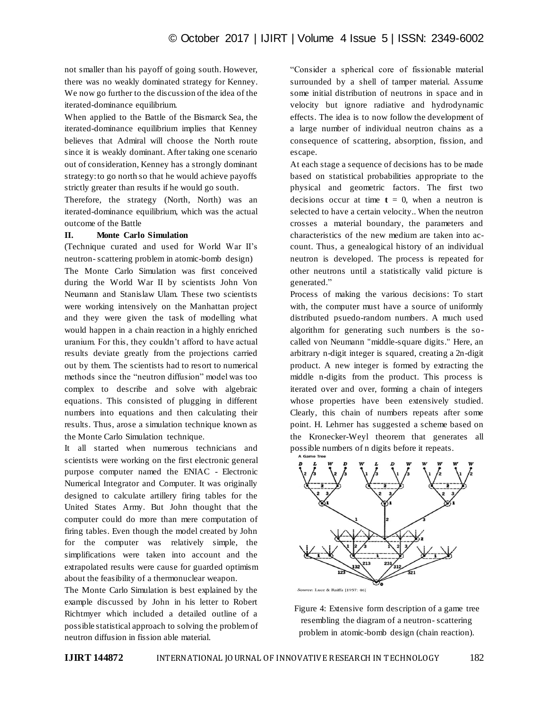not smaller than his payoff of going south. However, there was no weakly dominated strategy for Kenney. We now go further to the discussion of the idea of the iterated-dominance equilibrium.

When applied to the Battle of the Bismarck Sea, the iterated-dominance equilibrium implies that Kenney believes that Admiral will choose the North route since it is weakly dominant. After taking one scenario out of consideration, Kenney has a strongly dominant strategy: to go north so that he would achieve payoffs strictly greater than results if he would go south.

Therefore, the strategy (North, North) was an iterated-dominance equilibrium, which was the actual outcome of the Battle

# **II. Monte Carlo Simulation**

(Technique curated and used for World War II's neutron- scattering problem in atomic-bomb design) The Monte Carlo Simulation was first conceived during the World War II by scientists John Von Neumann and Stanislaw Ulam. These two scientists were working intensively on the Manhattan project and they were given the task of modelling what would happen in a chain reaction in a highly enriched uranium. For this, they couldn't afford to have actual results deviate greatly from the projections carried out by them. The scientists had to resort to numerical methods since the "neutron diffusion" model was too complex to describe and solve with algebraic equations. This consisted of plugging in different numbers into equations and then calculating their results. Thus, arose a simulation technique known as the Monte Carlo Simulation technique.

It all started when numerous technicians and scientists were working on the first electronic general purpose computer named the ENIAC - Electronic Numerical Integrator and Computer. It was originally designed to calculate artillery firing tables for the United States Army. But John thought that the computer could do more than mere computation of firing tables. Even though the model created by John for the computer was relatively simple, the simplifications were taken into account and the extrapolated results were cause for guarded optimism about the feasibility of a thermonuclear weapon.

The Monte Carlo Simulation is best explained by the example discussed by John in his letter to Robert Richtmyer which included a detailed outline of a possible statistical approach to solving the problem of neutron diffusion in fission able material.

―Consider a spherical core of fissionable material surrounded by a shell of tamper material. Assume some initial distribution of neutrons in space and in velocity but ignore radiative and hydrodynamic effects. The idea is to now follow the development of a large number of individual neutron chains as a consequence of scattering, absorption, fission, and escape.

At each stage a sequence of decisions has to be made based on statistical probabilities appropriate to the physical and geometric factors. The first two decisions occur at time  $t = 0$ , when a neutron is selected to have a certain velocity.. When the neutron crosses a material boundary, the parameters and characteristics of the new medium are taken into account. Thus, a genealogical history of an individual neutron is developed. The process is repeated for other neutrons until a statistically valid picture is generated."

Process of making the various decisions: To start with, the computer must have a source of uniformly distributed psuedo-random numbers. A much used algorithm for generating such numbers is the socalled von Neumann "middle-square digits." Here, an arbitrary n-digit integer is squared, creating a 2n-digit product. A new integer is formed by extracting the middle n-digits from the product. This process is iterated over and over, forming a chain of integers whose properties have been extensively studied. Clearly, this chain of numbers repeats after some point. H. Lehrner has suggested a scheme based on the Kronecker-Weyl theorem that generates all possible numbers of n digits before it repeats.



Figure 4: Extensive form description of a game tree resembling the diagram of a neutron- scattering problem in atomic-bomb design (chain reaction).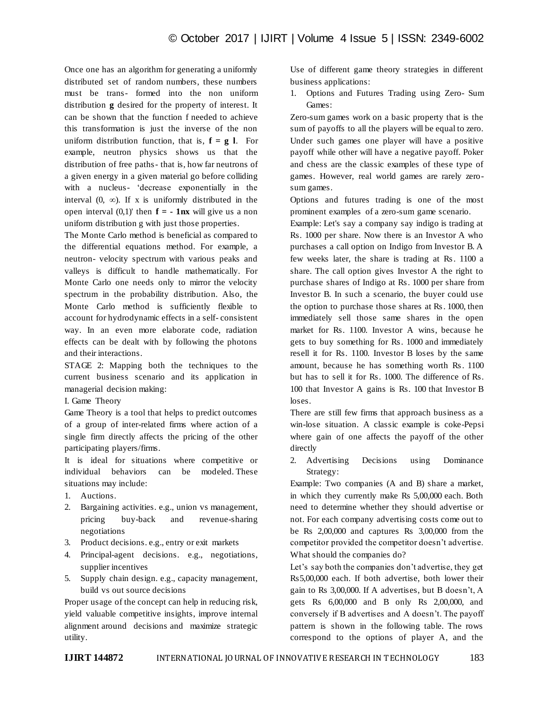Once one has an algorithm for generating a uniformly distributed set of random numbers, these numbers must be trans- formed into the non uniform distribution **g** desired for the property of interest. It can be shown that the function f needed to achieve this transformation is just the inverse of the non uniform distribution function, that is,  $f = g \, l$ . For example, neutron physics shows us that the distribution of free paths- that is, how far neutrons of a given energy in a given material go before colliding with a nucleus- 'decrease exponentially in the interval  $(0, \infty)$ . If x is uniformly distributed in the open interval  $(0,1)$ ' then  $f = -1$ **nx** will give us a non uniform distribution g with just those properties.

The Monte Carlo method is beneficial as compared to the differential equations method. For example, a neutron- velocity spectrum with various peaks and valleys is difficult to handle mathematically. For Monte Carlo one needs only to mirror the velocity spectrum in the probability distribution. Also, the Monte Carlo method is sufficiently flexible to account for hydrodynamic effects in a self- consistent way. In an even more elaborate code, radiation effects can be dealt with by following the photons and their interactions.

STAGE 2: Mapping both the techniques to the current business scenario and its application in managerial decision making:

## I. Game Theory

Game Theory is a tool that helps to predict outcomes of a group of inter-related firms where action of a single firm directly affects the pricing of the other participating players/firms.

It is ideal for situations where competitive or individual behaviors can be modeled. These situations may include:

- 1. Auctions.
- 2. Bargaining activities. e.g., union vs management, pricing buy-back and revenue-sharing negotiations
- 3. Product decisions. e.g., entry or exit markets
- 4. Principal-agent decisions. e.g., negotiations, supplier incentives
- 5. Supply chain design. e.g., capacity management, build vs out source decisions

Proper usage of the concept can help in reducing risk, yield valuable competitive insights, improve internal alignment around decisions and maximize strategic utility.

Use of different game theory strategies in different business applications:

1. Options and Futures Trading using Zero- Sum Games:

Zero-sum games work on a basic property that is the sum of payoffs to all the players will be equal to zero. Under such games one player will have a positive payoff while other will have a negative payoff. Poker and chess are the classic examples of these type of games. However, real world games are rarely zerosum games.

Options and futures trading is one of the most prominent examples of a zero-sum game scenario.

Example: Let's say a company say indigo is trading at Rs. 1000 per share. Now there is an Investor A who purchases a call option on Indigo from Investor B. A few weeks later, the share is trading at Rs. 1100 a share. The call option gives Investor A the right to purchase shares of Indigo at Rs. 1000 per share from Investor B. In such a scenario, the buyer could use the option to purchase those shares at Rs. 1000, then immediately sell those same shares in the open market for Rs. 1100. Investor A wins, because he gets to buy something for Rs. 1000 and immediately resell it for Rs. 1100. Investor B loses by the same amount, because he has something worth Rs. 1100 but has to sell it for Rs. 1000. The difference of Rs. 100 that Investor A gains is Rs. 100 that Investor B loses.

There are still few firms that approach business as a win-lose situation. A classic example is coke-Pepsi where gain of one affects the payoff of the other directly

2. Advertising Decisions using Dominance Strategy:

Example: Two companies (A and B) share a market, in which they currently make Rs 5,00,000 each. Both need to determine whether they should advertise or not. For each company advertising costs come out to be Rs 2,00,000 and captures Rs 3,00,000 from the competitor provided the competitor doesn't advertise. What should the companies do?

Let's say both the companies don't advertise, they get Rs5,00,000 each. If both advertise, both lower their gain to Rs 3,00,000. If A advertises, but B doesn't, A gets Rs 6,00,000 and B only Rs 2,00,000, and conversely if B advertises and A doesn't. The payoff pattern is shown in the following table. The rows correspond to the options of player A, and the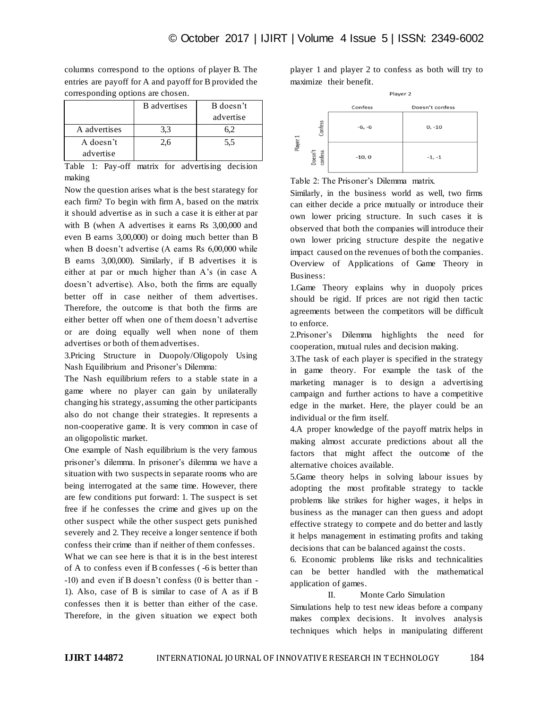columns correspond to the options of player B. The entries are payoff for A and payoff for B provided the corresponding options are chosen.

|              | <b>B</b> advertises | B doesn't |
|--------------|---------------------|-----------|
|              |                     | advertise |
| A advertises | 3.3                 |           |
| A doesn't    | 2.6                 | 5.5       |
| advertise    |                     |           |

Table 1: Pay-off matrix for advertising decision making

Now the question arises what is the best starategy for each firm? To begin with firm A, based on the matrix it should advertise as in such a case it is either at par with B (when A advertises it earns Rs 3,00,000 and even B earns 3,00,000) or doing much better than B when B doesn't advertise (A earns Rs 6,00,000 while B earns 3,00,000). Similarly, if B advertises it is either at par or much higher than A's (in case A doesn't advertise). Also, both the firms are equally better off in case neither of them advertises. Therefore, the outcome is that both the firms are either better off when one of them doesn't advertise or are doing equally well when none of them advertises or both of them advertises.

3.Pricing Structure in Duopoly/Oligopoly Using Nash Equilibrium and Prisoner's Dilemma:

The Nash equilibrium refers to a stable state in a game where no player can gain by unilaterally changing his strategy, assuming the other participants also do not change their strategies. It represents a non-cooperative game. It is very common in case of an oligopolistic market.

One example of Nash equilibrium is the very famous prisoner's dilemma. In prisoner's dilemma we have a situation with two suspects in separate rooms who are being interrogated at the same time. However, there are few conditions put forward: 1. The suspect is set free if he confesses the crime and gives up on the other suspect while the other suspect gets punished severely and 2. They receive a longer sentence if both confess their crime than if neither of them confesses.

What we can see here is that it is in the best interest of A to confess even if B confesses ( -6 is better than -10) and even if B doesn't confess (0 is better than - 1). Also, case of B is similar to case of A as if B confesses then it is better than either of the case. Therefore, in the given situation we expect both

player 1 and player 2 to confess as both will try to maximize their benefit.



Table 2: The Prisoner's Dilemma matrix.

Similarly, in the business world as well, two firms can either decide a price mutually or introduce their own lower pricing structure. In such cases it is observed that both the companies will introduce their own lower pricing structure despite the negative impact caused on the revenues of both the companies. Overview of Applications of Game Theory in Business:

1.Game Theory explains why in duopoly prices should be rigid. If prices are not rigid then tactic agreements between the competitors will be difficult to enforce.

2.Prisoner's Dilemma highlights the need for cooperation, mutual rules and decision making.

3.The task of each player is specified in the strategy in game theory. For example the task of the marketing manager is to design a advertising campaign and further actions to have a competitive edge in the market. Here, the player could be an individual or the firm itself.

4.A proper knowledge of the payoff matrix helps in making almost accurate predictions about all the factors that might affect the outcome of the alternative choices available.

5.Game theory helps in solving labour issues by adopting the most profitable strategy to tackle problems like strikes for higher wages, it helps in business as the manager can then guess and adopt effective strategy to compete and do better and lastly it helps management in estimating profits and taking decisions that can be balanced against the costs.

6. Economic problems like risks and technicalities can be better handled with the mathematical application of games.

# II. Monte Carlo Simulation

Simulations help to test new ideas before a company makes complex decisions. It involves analysis techniques which helps in manipulating different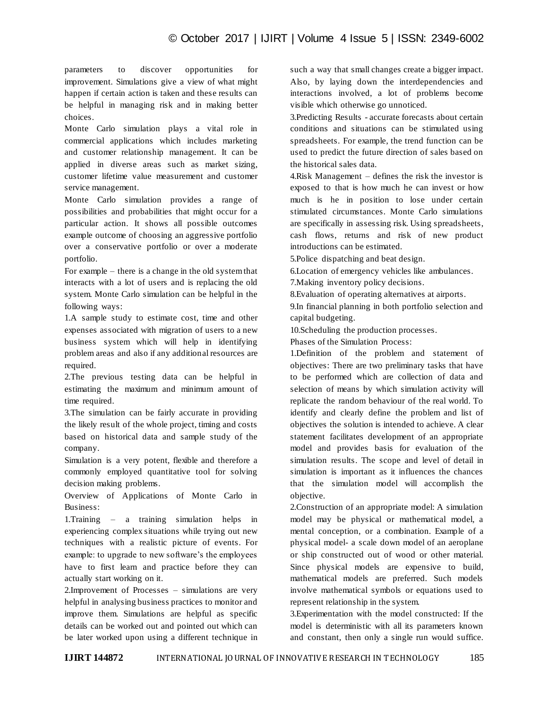parameters to discover opportunities for improvement. Simulations give a view of what might happen if certain action is taken and these results can be helpful in managing risk and in making better choices.

Monte Carlo simulation plays a vital role in commercial applications which includes marketing and customer relationship management. It can be applied in diverse areas such as market sizing, customer lifetime value measurement and customer service management.

Monte Carlo simulation provides a range of possibilities and probabilities that might occur for a particular action. It shows all possible outcomes example outcome of choosing an aggressive portfolio over a conservative portfolio or over a moderate portfolio.

For example – there is a change in the old system that interacts with a lot of users and is replacing the old system. Monte Carlo simulation can be helpful in the following ways:

1.A sample study to estimate cost, time and other expenses associated with migration of users to a new business system which will help in identifying problem areas and also if any additional resources are required.

2.The previous testing data can be helpful in estimating the maximum and minimum amount of time required.

3.The simulation can be fairly accurate in providing the likely result of the whole project, timing and costs based on historical data and sample study of the company.

Simulation is a very potent, flexible and therefore a commonly employed quantitative tool for solving decision making problems.

Overview of Applications of Monte Carlo in Business:

1.Training – a training simulation helps in experiencing complex situations while trying out new techniques with a realistic picture of events. For example: to upgrade to new software's the employees have to first learn and practice before they can actually start working on it.

2.Improvement of Processes – simulations are very helpful in analysing business practices to monitor and improve them. Simulations are helpful as specific details can be worked out and pointed out which can be later worked upon using a different technique in

such a way that small changes create a bigger impact. Also, by laying down the interdependencies and interactions involved, a lot of problems become visible which otherwise go unnoticed.

3.Predicting Results - accurate forecasts about certain conditions and situations can be stimulated using spreadsheets. For example, the trend function can be used to predict the future direction of sales based on the historical sales data.

4.Risk Management – defines the risk the investor is exposed to that is how much he can invest or how much is he in position to lose under certain stimulated circumstances. Monte Carlo simulations are specifically in assessing risk. Using spreadsheets, cash flows, returns and risk of new product introductions can be estimated.

5.Police dispatching and beat design.

6.Location of emergency vehicles like ambulances.

7.Making inventory policy decisions.

8.Evaluation of operating alternatives at airports.

9.In financial planning in both portfolio selection and capital budgeting.

10.Scheduling the production processes.

Phases of the Simulation Process:

1.Definition of the problem and statement of objectives: There are two preliminary tasks that have to be performed which are collection of data and selection of means by which simulation activity will replicate the random behaviour of the real world. To identify and clearly define the problem and list of objectives the solution is intended to achieve. A clear statement facilitates development of an appropriate model and provides basis for evaluation of the simulation results. The scope and level of detail in simulation is important as it influences the chances that the simulation model will accomplish the objective.

2.Construction of an appropriate model: A simulation model may be physical or mathematical model, a mental conception, or a combination. Example of a physical model- a scale down model of an aeroplane or ship constructed out of wood or other material. Since physical models are expensive to build, mathematical models are preferred. Such models involve mathematical symbols or equations used to represent relationship in the system.

3.Experimentation with the model constructed: If the model is deterministic with all its parameters known and constant, then only a single run would suffice.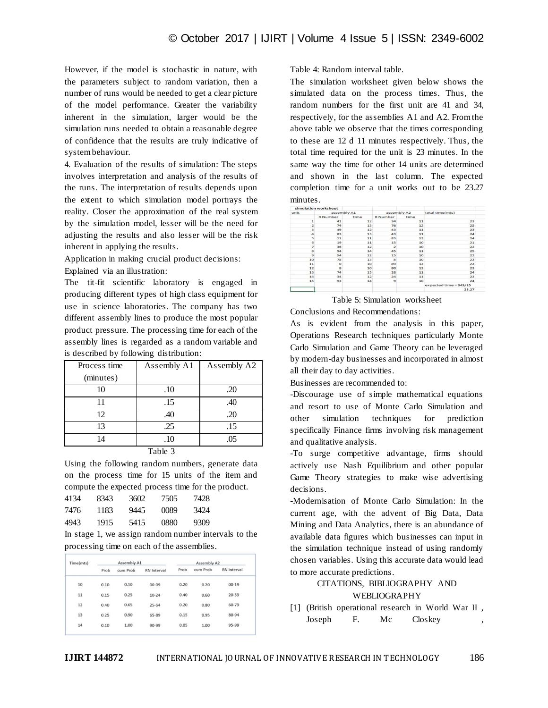However, if the model is stochastic in nature, with the parameters subject to random variation, then a number of runs would be needed to get a clear picture of the model performance. Greater the variability inherent in the simulation, larger would be the simulation runs needed to obtain a reasonable degree of confidence that the results are truly indicative of system behaviour.

4. Evaluation of the results of simulation: The steps involves interpretation and analysis of the results of the runs. The interpretation of results depends upon the extent to which simulation model portrays the reality. Closer the approximation of the real system by the simulation model, lesser will be the need for adjusting the results and also lesser will be the risk inherent in applying the results.

Application in making crucial product decisions:

Explained via an illustration:

The tit-fit scientific laboratory is engaged in producing different types of high class equipment for use in science laboratories. The company has two different assembly lines to produce the most popular product pressure. The processing time for each of the assembly lines is regarded as a random variable and is described by following distribution:

| Process time | Assembly A1                | Assembly A2 |
|--------------|----------------------------|-------------|
| (minutes)    |                            |             |
| 10           | .10                        | .20         |
| 11           | .15                        | .40         |
| 12           | .40                        | .20         |
| 13           | .25                        | .15         |
| 14           | .10                        | .05         |
|              | $T_2$ $\sim$ 1.4 $\sim$ 2. |             |

Table 3

Using the following random numbers, generate data on the process time for 15 units of the item and compute the expected process time for the product.

| 8343 | 3602 | 7505 | 7428 |
|------|------|------|------|
| 1183 | 9445 | 0089 | 3424 |
| 1915 | 5415 | 0880 | 9309 |
|      |      |      |      |

In stage 1, we assign random number intervals to the processing time on each of the assemblies.

| Time(mts) | Assembly A1 |          |                    | Assembly A2 |          |                    |  |
|-----------|-------------|----------|--------------------|-------------|----------|--------------------|--|
|           | Prob        | cum Prob | <b>RN</b> Interval | Prob        | cum Prob | <b>RN</b> Interval |  |
| 10        | 0.10        | 0.10     | $00 - 09$          | 0.20        | 0.20     | $00 - 19$          |  |
| 11        | 0.15        | 0.25     | $10 - 24$          | 0.40        | 0.60     | $20 - 59$          |  |
| 12        | 0.40        | 0.65     | $25 - 64$          | 0.20        | 0.80     | 60-79              |  |
| 13        | 0.25        | 0.90     | 65-89              | 0.15        | 0.95     | 80-94              |  |
| 14        | 0.10        | 1.00     | 90-99              | 0.05        | 1.00     | 95-99              |  |

Table 4: Random interval table.

The simulation worksheet given below shows the simulated data on the process times. Thus, the random numbers for the first unit are 41 and 34, respectively, for the assemblies A1 and A2. From the above table we observe that the times corresponding to these are 12 d 11 minutes respectively. Thus, the total time required for the unit is 23 minutes. In the same way the time for other 14 units are determined and shown in the last column. The expected completion time for a unit works out to be 23.27 minutes.

|                         | simulation worksheet |      |                 |      |                        |
|-------------------------|----------------------|------|-----------------|------|------------------------|
|                         | assembly A1          |      | assembly A2     |      | total time(mts)        |
|                         | <b>R</b> Number      | time | <b>R</b> Number | time |                        |
| $\mathbf{1}$            | 41                   | 12   | 34              | 11   | 23                     |
| $\overline{a}$          | 74                   | 13   | 76              | 12   | 25                     |
| $\overline{\mathbf{3}}$ | 49                   | 12   | 43              | 11   | 23                     |
| $\overline{a}$          | 83                   | 13   | 43              | 11   | 24                     |
| 5                       | 11                   | 11   | 83              | 13   | 24                     |
| 6                       | 19                   | 11   | 15              | 10   | 21                     |
| $\overline{z}$          | 36                   | 12   | $\overline{2}$  | 10   | 22                     |
| 8                       | 94                   | 14   | 45              | 11   | 25                     |
| $\mathbf{q}$            | 54                   | 12   | 15              | 10   | 22                     |
| 10                      | 75                   | 13   | $\overline{5}$  | 10   | 23                     |
| 11                      | $\circ$              | 10   | 89              | 13   | 23                     |
| 12                      | 8                    | 10   | 80              | 13   | 23                     |
| 13                      | 74                   | 13   | 28              | 11   | 24                     |
| 14                      | 34                   | 12   | 24              | 11   | 23                     |
| 15                      | 93                   | 14   | $\mathbf{9}$    | 10   | 24                     |
|                         |                      |      |                 |      | expected time = 349/15 |
|                         |                      |      |                 |      | 23.27                  |

Table 5: Simulation worksheet

Conclusions and Recommendations:

As is evident from the analysis in this paper, Operations Research techniques particularly Monte Carlo Simulation and Game Theory can be leveraged by modern-day businesses and incorporated in almost all their day to day activities.

Businesses are recommended to:

-Discourage use of simple mathematical equations and resort to use of Monte Carlo Simulation and other simulation techniques for prediction specifically Finance firms involving risk management and qualitative analysis.

-To surge competitive advantage, firms should actively use Nash Equilibrium and other popular Game Theory strategies to make wise advertising decisions.

-Modernisation of Monte Carlo Simulation: In the current age, with the advent of Big Data, Data Mining and Data Analytics, there is an abundance of available data figures which businesses can input in the simulation technique instead of using randomly chosen variables. Using this accurate data would lead to more accurate predictions.

# CITATIONS, BIBLIOGRAPHY AND WEBLIOGRAPHY

[1] (British operational research in World War II , Joseph F. Mc Closkey ,